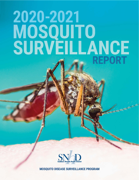# 2020-2021 MOSQUITO<br>SURVEILLANCE **REPORT**



**MOSQUITO DISEASE SURVEILLANCE PROGRAM**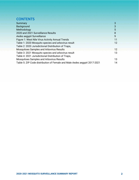# **CONTENTS**

| Summary                                                                   | 3   |
|---------------------------------------------------------------------------|-----|
| Background                                                                | 3   |
| Methodology                                                               | 5   |
| 2020 and 2021 Surveillance Results                                        | 8   |
| Aedes aegypti Surveillance                                                | 9   |
| Figure 1: West Nile Virus Activity Annual Trends                          | 11  |
| Table 1: 2020 Mosquito species and arbovirus result                       | 12. |
| Table 2: 2020 Jurisdictional Distribution of Traps,                       |     |
| Mosquitoes Samples and Arbovirus Results                                  | 12  |
| Table 3: 2021 Mosquito species and arbovirus result                       | 13  |
| Table 4: 2021 Jurisdictional Distribution of Traps,                       |     |
| <b>Mosquitoes Samples and Arbovirus Results</b>                           | 13  |
| Table 5: ZIP Code distribution of Female and Male Aedes aegypti 2017-2021 | 14  |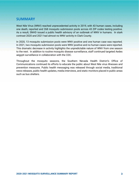#### **SUMMARY**

West Nile Virus (WNV) reached unprecedented activity in 2019, with 43 human cases, including one death, reported and 268 mosquito submission pools across 43 ZIP codes testing positive. As a result, SNHD issued a public health advisory of an outbreak of WNV in humans. In stark contrast 2020 and 2021 had almost no WNV activity in Clark County.

In 2020, 13 mosquito submission pools were WNV positive and one human case was reported. In 2021, two mosquito submission pools were WNV positive and no human cases were reported. This dramatic decrease in activity highlights the unpredictable nature of WNV from one season to the next. In addition to routine mosquito disease surveillance, staff continued targeted Aedes aegypti surveillance in collaboration with the CDC.

Throughout the mosquito seasons, the Southern Nevada Health District's Office of Communications continued its efforts to educate the public about West Nile virus illnesses and prevention measures. Public health messaging was released through social media, traditional news releases, public health updates, media interviews, and static monitors placed in public areas such as bus shelters.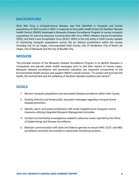### **BACKGROUND**

West Nile Virus, a mosquito-borne disease, was first identified in mosquito and human populations of Clark County in 2004. In response to this public health threat, the Southern Nevada Health District (SNHD) developed a Mosquito Disease Surveillance Program to survey mosquito populations for arboviral diseases including West Nile Virus (WNV), Western Equine Encephalitis (WEE), and Saint Louis Encephalitis Virus (SLEV). SNHD is the only entity in Clark County capable of monitoring mosquito populations across the six distinct jurisdictions within the county, including City of Las Vegas, unincorporated Clark County, City of Henderson, City of North Las Vegas, City of Mesquite and the City of Boulder City.

#### **MISSION**

The principal mission of the Mosquito Disease Surveillance Program is to identify diseases in mosquitoes and provide public health messages prior to and after reports of human cases. Mosquito disease surveillance and prevention education are important components of the Environmental Health Division and support SNHD's overall mission, "To protect and promote the health, the environment and the wellbeing of Southern Nevada residents and visitors."

#### **GOALS**

- 1. Monitor mosquito populations and associated disease prevalence within Clark County.
- 2. Develop effective and timely public education messages regarding mosquito-borne disease prevention.
- 3. Identify, report, and assist jurisdictions with small, targeted larval mosquito control measures utilizing Integrated Mosquito Management principles.
- 4. Conduct environmental investigations related to arbovirus cases reported by the Office of Epidemiology and Disease Surveillance.
- 5. Maintain communication with state and federal agencies to ensure WNV, SLEV, and WEE surveillance activities are included in nationwide monitoring systems.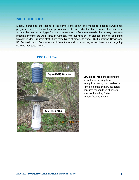#### **METHODOLOGY**

Mosquito trapping and testing is the cornerstone of SNHD's mosquito disease surveillance program. This type of surveillance provides an up-to-date indicator of arbovirus vectors in an area and can be used as a trigger for control measures. In Southern Nevada, the primary mosquito breeding months are April through October, with submission for disease analysis beginning typically in May. Program staff utilize three types of mosquito traps, CDC Light traps, Gravid, and BG Sentinel traps. Each offers a different method of attracting mosquitoes while targeting specific mosquito vectors.



#### **CDC Light Trap**

**CDC Light Traps** are designed to attract host seeking female mosquitoes using carbon dioxide (dry ice) as the primary attractant, captures mosquitoes of several species, including *Culex*, *Anopheles*, and *Aedes*.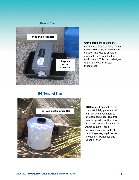#### **Gravid Trap**



**Gravid traps** are designed to capture egg laden (gravid) female mosquitoes using a baited water solution intended to simulate stagnant water found in the environment. This trap is designed to primarily capture *Culex* mosquitoes.

#### **BG Sentinel Trap**



**BG Sentinel** traps utilize color cues, artificially generated air plumes, and a scent lure to attract mosquitoes. This trap was designed specifically for attracting *Aedes albopictus* and *Aedes aegypti*. These mosquitoes are capable of vectoring emerging diseases including Chikungunya and Dengue Fever.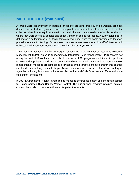## **METHODOLOGY (continued)**

All traps were set overnight in potential mosquito breeding areas such as washes, drainage ditches, pools of standing water, cemeteries, plant nurseries and private residences. From the collection sites, live mosquitoes were frozen on dry ice and transported to the SNHD's onsite lab, where they were sorted by species and gender, and then pooled for testing. A submission pool is defined as a collection of 50 or fewer female mosquitoes, from the same species and location, placed into a vial for testing. Once pooled the mosquitoes were stored in a -40oC freezer until collected by the Southern Nevada Public Health Laboratory (SNPHL).

The Mosquito Disease Surveillance Program subscribes to the concept of Integrated Mosquito Management (IMM), which is fundamentally Integrated Pest Management (IPM) tailored for mosquito control. Surveillance is the backbone of all IMM programs as it identifies problem species and population trends which are used to direct and evaluate control measures. SNHD's remediation of mosquito breeding areas is limited to small, targeted chemical treatments of areas identified when setting mosquito traps. Areas requiring abatement are referred to counterpart agencies including Public Works, Parks and Recreation, and Code Enforcement offices within the six distinct jurisdictions.

In 2021 Environmental Health transferred its mosquito control equipment and chemical supplies to Unincorporated Clark County Vector Control. The surveillance program retained minimal control chemicals to continue with small, targeted treatments.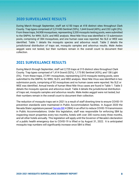## **2020 SURVEILLANCE RESULTS**

During March through September, staff set 4,150 traps at 418 distinct sites throughout Clark County. Trap types comprised of 2,274 BG Sentinel (55%), 1,644 Gravid (40%), and 232 Light (5%). From these traps, 54,908 mosquitoes, representing 3,330 mosquito testing pools, were submitted to the SNPHL for WNV, SLEV, and WEE analysis. West Nile Virus was identified in 13 submission pools, comprising of 384 mosquitoes, and one human case was reported. No SLE or WEE was identified. Table 1 details the mosquito species and arbovirus result. Table 2 details the jurisdictional distribution of traps set, mosquito samples and arbovirus results. Male Aedes aegypti were not tested, but their numbers remain in the overall count to document their collection.

#### **2021 SURVEILLANCE RESULTS**

During March through September, staff set 2,725 traps at 315 distinct sites throughout Clark County. Trap types comprised of 1,414 Gravid (52%), 1,173 BG Sentinel (43%), and 138 Light (5%). From these traps, 27,991 mosquitoes, representing 2,010 mosquito testing pools, were submitted to the SNPHL for WNV, SLEV, and WEE analysis. West Nile Virus was identified in two submission pools, comprising of 82 mosquitoes and no human cases were reported. No SLE or WEE was identified. Annual trends of human West Nile Virus cases are found in Table 1. Table 3 details the mosquito species and arbovirus result. Table 4 details the jurisdictional distribution of traps set, mosquito samples and arbovirus results. Male *Aedes aegypti* were not tested, but their numbers remain in the overall count to document their collection.

The reduction of mosquito traps set in 2021 is a result of staff diverting time to ensure COVID-19 prevention standards were maintained in Public Accommodation facilities. In August 2020 the Nevada State Legislature passed Senate Bill 4 (SB4) in an effort to reduce COVID-19 transmission in Public Accommodations. Under this legislation, staff was responsible for enforcing SB4 by inspecting resort properties every two months, hotels with over 200 rooms every three months, and all other hotels annually. This legislation will apply until the Governor of Nevada's declaration of a public health emergency due to COVID-19 is lifted or by August 31, 2022. It is anticipated mosquito trap numbers will significantly increase once SB4 is lifted.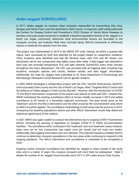## *Aedes aegypti* **SURVEILLANCE**

In 2017, Aedes aegypti, an invasive urban mosquito responsible for transmitting Zika virus, Dengue, and Yellow Fever, was first identified in Clark County. In response, staff collaborated with the Centers for Disease Control and Prevention's (CDC) Division of Vector Borne Diseases to develop a two-year project proposal to establish a baseline population density of Ae. aegypti in a North Las Vegas community, determine what environmental factors are favorable to the mosquito survival, and evaluate Wide Area Larvicide Spray (WALS) treatments to effectively reduce or eradicate the species from the area.

The project was implemented in 2019 in the 89032 ZIP code. Homes, all within a quarter-mile radius, were canvassed by staff and selected for the project based on cooperative residents. Thirty locations were identified and had BG Sentinel traps, with CO2 and BG Sweet Lure attractants, set for two consecutive trap nights, every other week. A data logger was attached to each trap and recorded temperature (Fo) and light intensity (lumen/ft2) every three minutes throughout the trap's deployment. The CDC was provided with all trapping data, including trap locations, mosquito species and counts, disease results, and data logger information. Additionally, the male Ae. aegypti were submitted to UC Davis Department of Entomology and Nematology's Mosquito Control Research Lab for genetic analysis.

In 2020, SNHD developed a collaborative project with the CDC, VALENT BioSciences, ADAPCO, Unincorporated Clark County and the City of North Las Vegas, titled "Targeted WALS Control and Surveillance of Aedes aegypti in Clark County, Nevada". However, with the introduction of COVID-19, the WALS intervention component of the project was placed on hold until 2021. Despite this, SNHD maintained the existing surveillance effort at homes initially surveyed in 2019 and added surveillance at 30 homes in a secondary adjacent community. One area would serve as the 'treatment' area for the WALS intervention and the other would be the 'non-treatment' area where no WALS would be applied. The surveillance methodology in both areas was the same as in 2019. Comparing the baseline populations before and after WALS intervention would help determine statistical significance of the method.

In 2021 SNHD was again unable to conduct the intervention due to ongoing COVID-19 prevention efforts, including the passing of legislation to mitigate COVID-19 in Public Accommodation facilities. The surveillance effort continued in the 'treatment' and 'non-treatment' areas, however, traps were set for two consecutive trap nights once per month and not every two weeks. Additionally, data logging information was not collected. This reduced frequency enabled staff to continue to determine mosquito populations in the two areas while continuing to respond to the ongoing pandemic. The WALS intervention and surveillance is scheduled to be completed in 2022.

Ongoing routine mosquito surveillance has identified Ae. aegypti in areas outside of the study area, and in a matter of years, this invasive mosquito will most likely be widespread. Table 5 details the number of Ae. aegypti found annually since 2017 in ZIP codes across Clark County.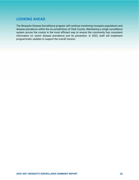## **LOOKING AHEAD**

The Mosquito Disease Surveillance program will continue monitoring mosquito populations and disease prevalence within the six jurisdictions of Clark County. Maintaining a single surveillance system across the county is the most efficient way to ensure the community has consistent information on vector disease prevalence and its prevention. In 2022, staff will implement programmatic updates to support the overall mission.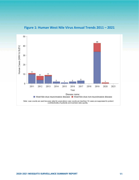

**Figure 1: Human West Nile Virus Annual Trends 2011 – 2021**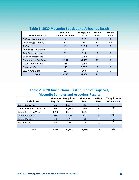| <b>Mosquito Species</b> | <b>Mosquito</b><br><b>Submission Pools</b> | <b>Mosquitoes</b><br><b>Tested</b> | $WW +$<br><b>Pools</b> | SLEV+<br><b>Pools</b> |  |  |  |  |  |
|-------------------------|--------------------------------------------|------------------------------------|------------------------|-----------------------|--|--|--|--|--|
| Aedes aegypti (female)  | 96                                         | 117                                | 0                      | 0                     |  |  |  |  |  |
| Aedes aegypti (male)    | 38                                         | 56                                 | <b>NA</b>              | NA                    |  |  |  |  |  |
| Aedes vexans            | 31                                         | 1,358                              | 0                      | 0                     |  |  |  |  |  |
| Anopheles franciscanus  | 9                                          | 39                                 | 0                      | 0                     |  |  |  |  |  |
| Anopheles freeborni     | 17                                         | 113                                |                        | 0                     |  |  |  |  |  |
| Culex erythrothorax     | 77                                         | 2,058                              | 0                      | <sup>0</sup>          |  |  |  |  |  |
| Culex quinquefasciatus  | 2,344                                      | 44,553                             | 13                     | 0                     |  |  |  |  |  |
| Culex stigmatasoma      | 446                                        | 2,954                              | 0                      | 0                     |  |  |  |  |  |
| Culex tarsalis          | 240                                        | 3,557                              |                        | 0                     |  |  |  |  |  |
| Culiseta inornata       | 32                                         | 103                                | 0                      | 0                     |  |  |  |  |  |
| <b>Total</b>            | 3,330                                      | 54,908                             | 13                     | 0                     |  |  |  |  |  |

#### **Table 1: 2020 Mosquito Species and Arbovirus Result**

## **Table 2: 2020 Jurisdictional Distribution of Traps Set, Mosquito Samples and Arbovirus Results**

| <b>Jurisdiction</b>                | <b>Mosquito</b><br><b>Traps Set</b> | <b>Mosquitoes</b><br><b>Tested</b> | <b>Mosquito</b><br><b>Pools</b> | $WW +$<br><b>Pools</b> | <b>Mosquitoes in</b><br><b>WNV + Pools</b> |
|------------------------------------|-------------------------------------|------------------------------------|---------------------------------|------------------------|--------------------------------------------|
| City of Las Vegas                  | 952                                 | 19,049                             | 815                             | 0                      | 0                                          |
| <b>Unincorporated Clark County</b> | 769                                 | 14,836                             | 699                             | 8                      | 138                                        |
| City of North Las Vegas            | 1,796                               | 11,641                             | 1,363                           | 0                      | 0                                          |
| City of Henderson                  | 530                                 | 8,569                              | 378                             | 5                      | 248                                        |
| City of Mesquite                   | 40                                  | 420                                | 31                              | 0                      | 0                                          |
| <b>Boulder City</b>                | 63                                  | 393                                | 42                              | 0                      | 0                                          |
|                                    |                                     |                                    |                                 |                        |                                            |
| Total                              | 4,150                               | 54,908                             | 3,330                           | 13                     | 384                                        |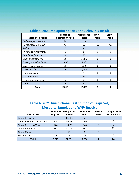| <b>Mosquito Species</b> | <b>Mosquito</b><br><b>Submission Pools</b> | <b>Mosquitoes</b><br><b>Tested</b> | $WNV +$<br><b>Pools</b> | $SLEV +$<br><b>Pools</b> |  |  |  |  |  |
|-------------------------|--------------------------------------------|------------------------------------|-------------------------|--------------------------|--|--|--|--|--|
| Aedes aegypti (female)  | 88                                         | 138                                | 0                       | 0                        |  |  |  |  |  |
| Aedes aegypti (male)*   | 43                                         | 82                                 | ΝA                      | ΝA                       |  |  |  |  |  |
| Aedes vexans            | 0                                          | $\Omega$                           | 0                       | 0                        |  |  |  |  |  |
| Anopheles franciscanus  | 6                                          | 14                                 | 0                       | 0                        |  |  |  |  |  |
| Anopheles freeborni     | 18                                         | 56                                 | 0                       | 0                        |  |  |  |  |  |
| Culex erythrothorax     | 66                                         | 1,986                              | 0                       | 0                        |  |  |  |  |  |
| Culex quinquefasciatus  | 1,435                                      | 23,002                             | $\mathfrak{p}$          | $\Omega$                 |  |  |  |  |  |
| Culex stigmatasoma      | 56                                         | 229                                | 0                       | 0                        |  |  |  |  |  |
| Culex tarsalis          | 243                                        | 2,300                              | 0                       | 0                        |  |  |  |  |  |
| Culiseta incidens       | 1                                          | 1                                  | 0                       | $\Omega$                 |  |  |  |  |  |
| Culiseta inornata       | 48                                         | 82                                 | 0                       | $\Omega$                 |  |  |  |  |  |
| Psorophora signipennis  | 5                                          | 95                                 | 0                       | 0                        |  |  |  |  |  |
| Other                   | $\overline{\mathbf{c}}$                    | 6                                  | O                       | O                        |  |  |  |  |  |
| <b>Total</b>            | 2,010                                      | 27,991                             | 2                       | 0                        |  |  |  |  |  |

#### **Table 3: 2021 Mosquito Species and Arbovirus Result**

## **Table 4: 2021 Jurisdictional Distribution of Traps Set, Mosquito Samples and WNV Results**

| <b>Jurisdiction</b>                | <b>Mosquito</b><br><b>Traps Set</b> | <b>Mosquitoes</b><br><b>Tested</b> | <b>Mosquito</b><br><b>Pools</b> | $WW +$<br><b>Pools</b> | <b>Mosquitoes in</b><br><b>WNV + Pools</b> |
|------------------------------------|-------------------------------------|------------------------------------|---------------------------------|------------------------|--------------------------------------------|
| City of Las Vegas                  | 794                                 | 11,205                             | 624                             | 0                      |                                            |
| <b>Unincorporated Clark County</b> | 543                                 | 6,443                              | 439                             | 0                      |                                            |
| City of North Las Vegas            | 774                                 | 3,875                              | 546                             | 0                      | O                                          |
| City of Henderson                  | 551                                 | 6,137                              | 354                             |                        | 82                                         |
| City of Mesquite                   | 8                                   | 27                                 | 6                               | 0                      | O                                          |
| <b>Boulder City</b>                | 55                                  | 304                                | 41                              |                        | 0                                          |
| Total                              | 2,725                               | 27,991                             | 2,010                           |                        | 82                                         |